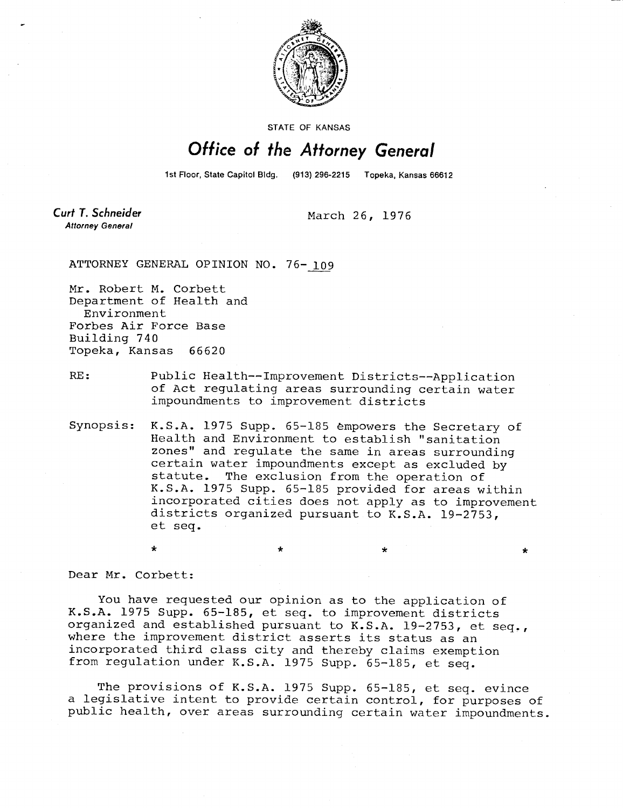

STATE OF KANSAS

## Office of the Attorney General

1st Floor, State Capitol Bldg. (913) 296-2215 Topeka, Kansas 66612

**Curt T. Schneider Attorney General** 

March 26, 1976

ATTORNEY GENERAL OPINION NO. 76-109

Mr. Robert M. Corbett Department of Health and Environment Forbes Air Force Base Building 740 Topeka, Kansas 66620

RE: Public Health--Improvement Districts--Application of Act regulating areas surrounding certain water impoundments to improvement districts

\*

Synopsis: K.S.A. 1975 Supp. 65-185 empowers the Secretary of Health and Environment to establish "sanitation zones" and regulate the same in areas surrounding certain water impoundments except as excluded by statute. The exclusion from the operation of K.S.A. 1975 Supp. 65-185 provided for areas within incorporated cities does not apply as to improvement districts organized pursuant to K.S.A. 19-2753, et seq.

Dear Mr. Corbett:

 $\ddot{\bullet}$ 

You have requested our opinion as to the application of K.S.A. 1975 Supp. 65-185, et seq. to improvement districts organized and established pursuant to K.S.A. 19-2753, et seq., where the improvement district asserts its status as an incorporated third class city and thereby claims exemption from regulation under K.S.A. 1975 Supp. 65-185, et seq.

The provisions of K.S.A. 1975 Supp. 65-185, et seq. evince a legislative intent to provide certain control, for purposes of public health, over areas surrounding certain water impoundments.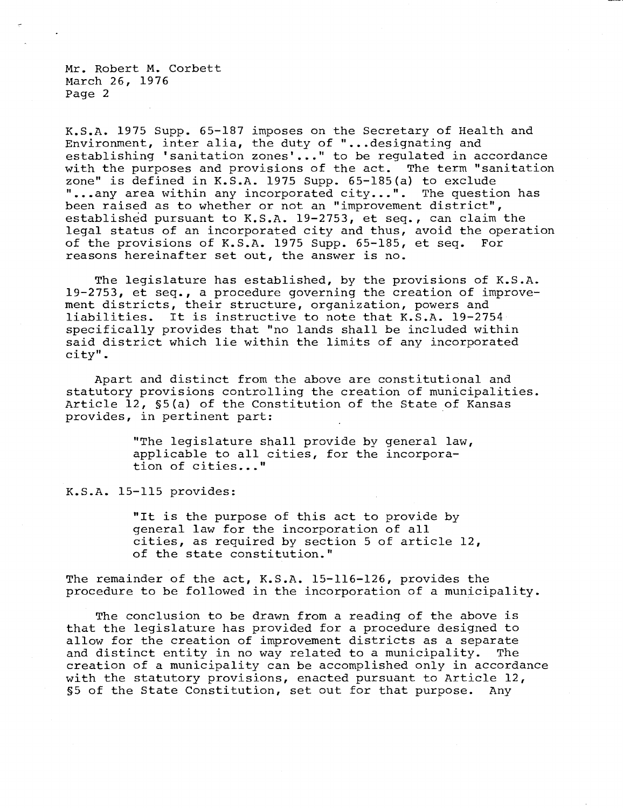Mr. Robert M. Corbett March 26, 1976 Page 2

K.S.A. 1975 Supp. 65-187 imposes on the Secretary of Health and Environment, inter alia, the duty of "...designating and establishing 'sanitation zones'..." to be regulated in accordance with the purposes and provisions of the act. The term "sanitation zone" is defined in  $K.S.A.$  1975 Supp. 65-185(a) to exclude " ...any area within any incorporated city...". The question has been raised as to whether or not an "improvement district", established pursuant to K.S.A. 19-2753, et seq., can claim the legal status of an incorporated city and thus, avoid the operation of the provisions of K.S.A. 1975 Supp. 65-185, et seq. For reasons hereinafter set out, the answer is no.

The legislature has established, by the provisions of K.S.A. 19-2753, et seq., a procedure governing the creation of improvement districts, their structure, organization, powers and liabilities. It is instructive to note that K.S.A. 19-2754 specifically provides that "no lands shall be included within said district which lie within the limits of any incorporated city".

Apart and distinct from the above are constitutional and statutory provisions controlling the creation of municipalities. Article 12, §5(a) of the Constitution of the State of Kansas provides, in pertinent part:

> "The legislature shall provide by general law, applicable to all cities, for the incorporation of cities..."

K.S.A. 15-115 provides:

"It is the purpose of this act to provide by general law for the incorporation of all cities, as required by section 5 of article 12, of the state constitution."

The remainder of the act, K.S.A. 15-116-126, provides the procedure to be followed in the incorporation of a municipality.

The conclusion to be drawn from a reading of the above is that the legislature has provided for a procedure designed to allow for the creation of improvement districts as a separate and distinct entity in no way related to a municipality. The creation of a municipality can be accomplished only in accordance with the statutory provisions, enacted pursuant to Article 12, §5 of the State Constitution, set out for that purpose. Any